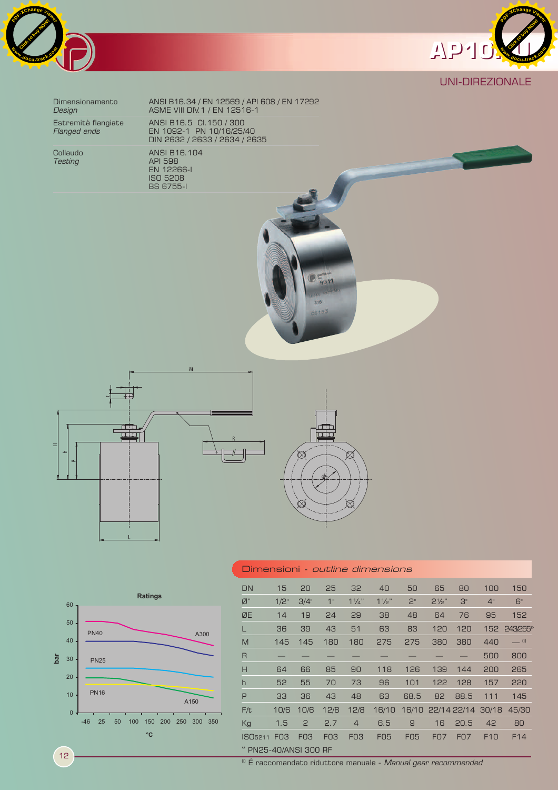



# UNI-DIREZIONALE

Dimensionamento ANSI B16.34 / EN 12569 / API 608 / EN 17292 **Design ASME VIII DIV.1 / EN 12516-1** Estremità flangiate ANSI B16.5 CI.150 / 300 *Flanged ends* EN 1092-1 PN 10/16/25/40 DIN 2632 / 2633 / 2634 / 2635

Collaudo ANSI B16.104<br>
Testing API 598 **Testing API 598**  EN 12266-I ISO 5208 BS 6755-I









| Dimensioni <i>- outline dimensions</i> |                 |            |                 |                |                |                |                   |            |       |                 |
|----------------------------------------|-----------------|------------|-----------------|----------------|----------------|----------------|-------------------|------------|-------|-----------------|
| <b>DN</b>                              | 15              | 20         | 25              | 32             | 40             | 50             | 65                | 80         | 100   | 150             |
| $\emptyset$ "                          | 1/2"            | 3/4"       | 1"              | $1\frac{1}{4}$ | $1\frac{1}{2}$ | 2 <sup>n</sup> | $2\frac{1}{2}$ "  | 3"         | 4"    | 6"              |
| ØE                                     | 14              | 19         | 24              | 29             | 38             | 48             | 64                | 76         | 95    | 152             |
|                                        | 36              | 39         | 43              | 51             | 63             | 83             | 120               | 120        |       | 152 243255*     |
| M                                      | 145             | 145        | 180             | 180            | 275            | 275            | 380               | 380        | 440   | $=$ $\omega$    |
| R                                      |                 |            |                 |                |                |                |                   |            | 500   | 800             |
| H                                      | 64              | 66         | 85              | 90             | 118            | 126            | 139               | 144        | 200   | 265             |
| h                                      | 52              | 55         | 70              | 73             | 96             | 101            | 122               | 128        | 157   | 220             |
| P                                      | 33              | 36         | 43              | 48             | 63             | 68.5           | 82                | 88.5       | 111   | 145             |
| F/t                                    | 10/6            | 10/6       | 12/8            | 12/8           | 16/10          |                | 16/10 22/14 22/14 |            | 30/18 | 45/30           |
| Kg                                     | 1.5             | 2          | 2.7             | $\overline{4}$ | 6.5            | 9              | 16                | 20.5       | 42    | 80              |
| ISO <sub>5211</sub>                    | F <sub>03</sub> | <b>FO3</b> | F <sub>03</sub> | <b>FO3</b>     | <b>F05</b>     | <b>F05</b>     | <b>FO7</b>        | <b>F07</b> | F10   | F <sub>14</sub> |
| * PN25-40/ANSI 300 RF                  |                 |            |                 |                |                |                |                   |            |       |                 |

12

(I) É raccomandato riduttore manuale - *Manual gear recommended*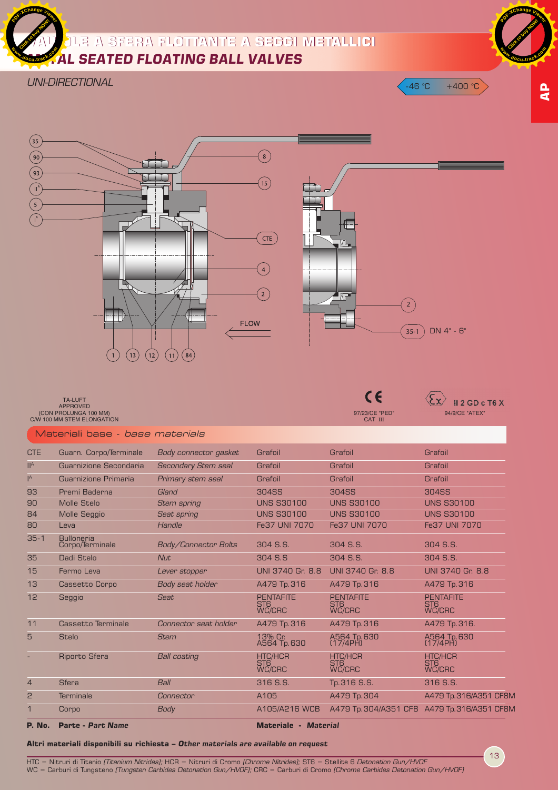

*UNI-DIRECTIONAL*



HTC = Nitruri di Titanio *(Titanium Nitrides);* HCR = Nitruri di Cromo *(Chrome Nitrides);* ST6 = Stellite 6 Detonation Gun/HVOF WC = Carburi di Tungsteno *(Tungsten Carbides Detonation Gun/HVOF)*; CRC = Carburi di Cromo *(Chrome Carbides Detonation Gun/HVOF)* 

2 Terminale *Connector* A105 A479 Tp.304 A479 Tp.316/A351 CF8M 1 Corpo *Body* A105/A216 WCB A479 Tp.304/A351 CF8 A479 Tp.316/A351 CF8M

**Altri materiali disponibili su richiesta –** *Other materials are available on request*

**P. No. Parte -** *Part Name* **Materiale -** *Material*

13

 $-46 °C + 400 °C$ 

**AP**

**Click to buy Now!** 

**<sup>w</sup>ww.docu-track.c<sup>o</sup> <sup>m</sup>**

**<sup>P</sup>DF-XCha<sup>n</sup>g<sup>e</sup> <sup>V</sup>iewe<sup>r</sup>**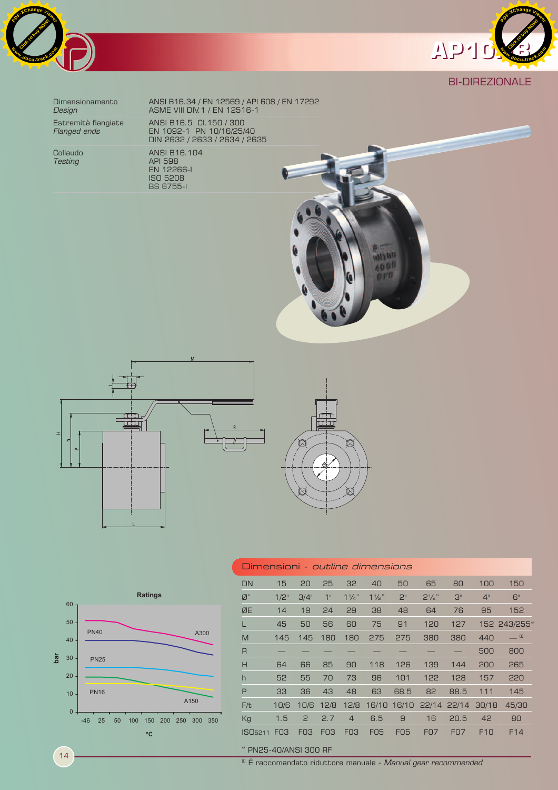



# BI-DIREZIONALE

Collaudo ANSI B16.104  $Testing$ 

Dimensionamento ANSI B16.34 / EN 12569 / API 608 / EN 17292 **Design ASME VIII DIV.1 / EN 12516-1** Estremità flangiate ANSI B16.5 CI.150 / 300 *Flanged ends* EN 1092-1 PN 10/16/25/40 DIN 2632 / 2633 / 2634 / 2635

 EN 12266-I ISO 5208 BS 6755-I





-46 25 50 100 150 200 250 300 350

**°C**

**Ratings**

A300

A150



| Dimensioni <i>- outline dimensions</i> |      |                 |                 |                 |                |                |                         |            |                 |                 |
|----------------------------------------|------|-----------------|-----------------|-----------------|----------------|----------------|-------------------------|------------|-----------------|-----------------|
| DN                                     | 15   | 20              | 25              | 32              | 40             | 50             | 65                      | 80         | 100             | 150             |
| Ø"                                     | 1/2" | 3/4"            | 1"              | $1\frac{1}{4}$  | $1\frac{1}{2}$ | 2 <sup>n</sup> | $2\frac{1}{2}$ "        | 3"         | 4"              | 6"              |
| ØE                                     | 14   | 19              | 24              | 29              | 38             | 48             | 64                      | 76         | 95              | 152             |
|                                        | 45   | 50              | 56              | 60              | 75             | 91             | 120                     | 127        |                 | 152 243/255*    |
| M                                      | 145  | 145             | 180             | 180             | 275            | 275            | 380                     | 380        | 440             | $= 0$           |
| $\overline{R}$                         |      |                 |                 |                 |                |                |                         |            | 500             | 800             |
| H                                      | 64   | 66              | 85              | 90              | 118            | 126            | 139                     | 144        | 200             | 265             |
| $\mathsf{h}$                           | 52   | 55              | 70              | 73              | 96             | 101            | 122                     | 128        | 157             | 220             |
| P                                      | 33   | 36              | 43              | 48              | 63             | 68.5           | 82                      | 88.5       | 111             | 145             |
| F/t                                    | 10/6 | 10/6            | 12/8            | 12/8            |                |                | 16/10 16/10 22/14 22/14 |            | 30/18           | 45/30           |
| Kg                                     | 1.5  | $\mathbf{2}$    | 2.7             | $\overline{4}$  | 6.5            | 9              | 16                      | 20.5       | 42              | 80              |
| ISO <sub>5211</sub>                    | FO3  | F <sub>03</sub> | F <sub>03</sub> | F <sub>03</sub> | <b>FO5</b>     | <b>F05</b>     | <b>F07</b>              | <b>F07</b> | F <sub>10</sub> | F <sub>14</sub> |

## \* PN25-40/ANSI 300 RF

(I) É raccomandato riduttore manuale - *Manual gear recommended*

14

**bar**

PN40

PN25

PN16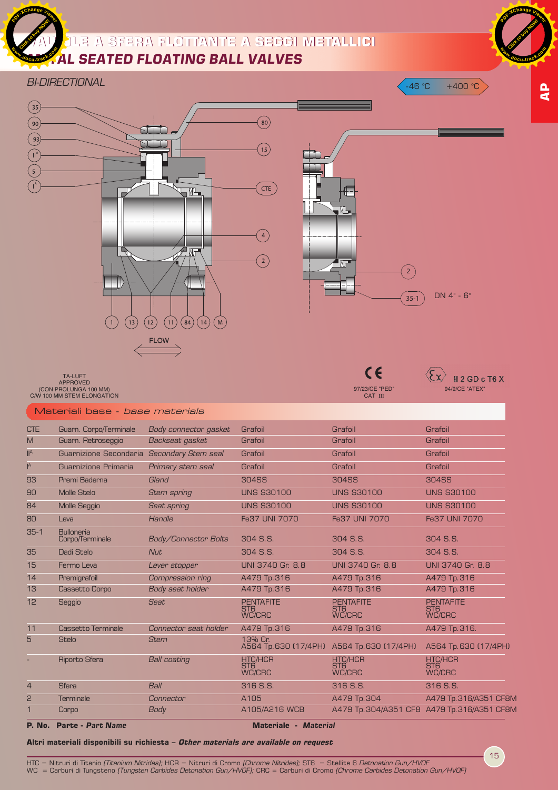

# **VALVOLE A SFERA FLOTTANTE A SEGGI METALLICI VALVOLE A SFERA FLOTTANTE A SEGGI METALLICI AL SEATED FLOATING BALL VALVES**

### *BI-DIRECTIONAL*



97/23/CE "PED" CAT III

 $\overline{\mathcal{E} \mathbf{x}}$   $\overline{\mathbf{H} \mathbf{2}}$  GD c T6 X

TA-LUFT<br>APPROVED<br>CON PROLUNGA 100 MM)<br>C/W 100 MM STEM ELONGATION

#### Materiali base - base materials

| <b>P. No.</b>             | <b>Parte - Part Name</b>             |                            | <b>Materiale - Material</b>                          |                                                      |                                                      |
|---------------------------|--------------------------------------|----------------------------|------------------------------------------------------|------------------------------------------------------|------------------------------------------------------|
|                           | Corpo                                | <b>Body</b>                | A105/A216 WCB                                        |                                                      | A479 Tp. 304/A351 CF8 A479 Tp. 316/A351 CF8M         |
| 2                         | Terminale                            | Connector                  | A105                                                 | A479 Tp. 304                                         | A479 Tp.316/A351 CF8M                                |
| $\overline{4}$            | <b>Sfera</b>                         | Ball                       | 316 S.S.                                             | 316 S.S.                                             | 316 S.S.                                             |
|                           | Riporto Sfera                        | <b>Ball coating</b>        | <b>HTC/HCR</b><br>ST <sub>6</sub><br><b>WC/CRC</b>   | <b>HTC/HCR</b><br>ST <sub>6</sub><br><b>WC/CRC</b>   | <b>HTC/HCR</b><br>ST <sub>6</sub><br><b>WC/CRC</b>   |
| 5                         | <b>Stelo</b>                         | <b>Stem</b>                | 13% Cr.<br>A564 Tp.630 (17/4PH)                      | A564 Tp. 630 (17/4PH)                                | A564 Tp. 630 (17/4PH)                                |
| 11                        | <b>Cassetto Terminale</b>            | Connector seat holder      | A479 Tp. 316                                         | A479 Tp. 316                                         | A479 Tp. 316.                                        |
| 12                        | Seggio                               | <b>Seat</b>                | <b>PENTAFITE</b><br>ST <sub>6</sub><br><b>WC/CRC</b> | <b>PENTAFITE</b><br>ST <sub>6</sub><br><b>WC/CRC</b> | <b>PENTAFITE</b><br>ST <sub>6</sub><br><b>WC/CRC</b> |
| 13                        | <b>Cassetto Corpo</b>                | Body seat holder           | A479 Tp.316                                          | A479 Tp. 316                                         | A479 Tp. 316                                         |
| 14                        | Premigrafoil                         | Compression ring           | A479 Tp. 316                                         | A479 Tp. 316                                         | A479 Tp. 316                                         |
| 15                        | Fermo Leva                           | Lever stopper              | UNI 3740 Gr. 8.8                                     | UNI 3740 Gr. 8.8                                     | UNI 3740 Gr. 8.8                                     |
| 35                        | Dadi Stelo                           | <b>Nut</b>                 | 304 S.S.                                             | 304 S.S.                                             | 304 S.S.                                             |
| $35-1$                    | <b>Bulloneria</b><br>Corpo/Terminale | Body/Connector Bolts       | 304 S.S.                                             | 304 S.S.                                             | 304 S.S.                                             |
| 80                        | Leva                                 | Handle                     | Fe37 UNI 7070                                        | Fe37 UNI 7070                                        | Fe37 UNI 7070                                        |
| 84                        | <b>Molle Seggio</b>                  | Seat spring                | <b>UNS S30100</b>                                    | <b>UNS S30100</b>                                    | <b>UNS S30100</b>                                    |
| 90                        | <b>Molle Stelo</b>                   | <b>Stem spring</b>         | <b>UNS S30100</b>                                    | <b>UNS S30100</b>                                    | <b>UNS S30100</b>                                    |
| 93                        | Premi Baderna                        | Gland                      | <b>304SS</b>                                         | <b>304SS</b>                                         | <b>304SS</b>                                         |
| $\mathsf{I}^{\mathsf{A}}$ | Guarnizione Primaria                 | Primary stem seal          | Grafoil                                              | Grafoil                                              | Grafoil                                              |
| II <sup>A</sup>           | Guarnizione Secondaria               | <b>Secondary Stem seal</b> | Grafoil                                              | Grafoil                                              | Grafoil                                              |
| M                         | Guarn. Retroseggio                   | Backseat gasket            | Grafoil                                              | Grafoil                                              | Grafoil                                              |
| <b>CTE</b>                | Guarn. Corpo/Terminale               | Body connector gasket      | Grafoil                                              | Grafoil                                              | Grafoil                                              |

15

**AP**

**Click to buy Now!** 

**<sup>w</sup>ww.docu-track.c<sup>o</sup> <sup>m</sup>**

**<sup>P</sup>DF-XCha<sup>n</sup>g<sup>e</sup> <sup>V</sup>iewe<sup>r</sup>**

#### **Altri materiali disponibili su richiesta – Other materials are available on request**

HTC = Nitruri di Titanio *(Titanium Nitrides);* HCR = Nitruri di Cromo *(Chrome Nitrides);* ST6 = Stellite 6 *Detonation Gun/HVOF*<br>WC = Carburi di Tungsteno *(Tungsten Carbides Detonation Gun/HVOF);* CRC = Carburi di Cro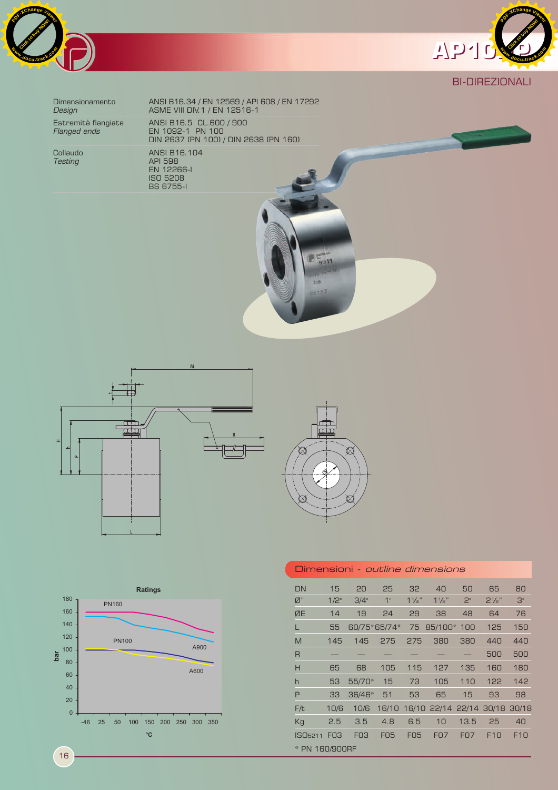



# BI-DIREZIONALI

 EN 12266-I ISO 5208

BS 6755-I

Collaudo<br>
Testing Collando ANSI B16.104 *Testing* API 598

Dimensionamento ANSI B16.34 / EN 12569 / API 608 / EN 17292 **Design ASME VIII DIV.1 / EN 12516-1** Estremità flangiate ANSI B16.5 CL.600 / 900 *Flanged ends* EN 1092-1 PN 100 DIN 2637 (PN 100) / DIN 2638 (PN 160)

 $\mathsf{N}$  $\bar{a}$ 



 $D_{\text{gatt}}^{\text{c}}$ 

316  $-10<sup>2</sup>$ 



| <b>DN</b>           | 15              | 20              | 25         | 32             | 40                      | 50             | 65               | 80              |
|---------------------|-----------------|-----------------|------------|----------------|-------------------------|----------------|------------------|-----------------|
| Ø"                  | 1/2"            | 3/4"            | 1"         | $1\frac{1}{4}$ | $1\frac{1}{2}$          | 2 <sup>n</sup> | $2\frac{1}{2}$ " | З"              |
| ØE                  | 14              | 19              | 24         | 29             | 38                      | 48             | 64               | 76              |
| L                   | 55              | 60/75*65/74*    |            | 75             | 85/100* 100             |                | 125              | 150             |
| M                   | 145             | 145             | 275        | 275            | 380                     | 380            | 440              | 440             |
| R                   |                 |                 |            |                |                         |                | 500              | 500             |
| H                   | 65              | 68              | 105        | 115            | 127                     | 135            | 160              | 180             |
| h                   | 53              | 55/70*          | 15         | 73             | 105                     | 110            | 122              | 142             |
| P                   | 33              | 36/46*          | 51         | 53             | 65                      | 15             | 93               | 98              |
| F/t                 | 10/6            | 10/6            | 16/10      |                | 16/10 22/14 22/14 30/18 |                |                  | 30/18           |
| Kg                  | 2.5             | 3.5             | 4.8        | 6.5            | 10                      | 13.5           | 25               | 40              |
| ISO <sub>5211</sub> | F <sub>03</sub> | F <sub>03</sub> | <b>FO5</b> | <b>FO5</b>     | <b>FO7</b>              | <b>FO7</b>     | F <sub>10</sub>  | F <sub>10</sub> |
| * PN 160/900RF      |                 |                 |            |                |                         |                |                  |                 |

Dimensioni - outline dimensions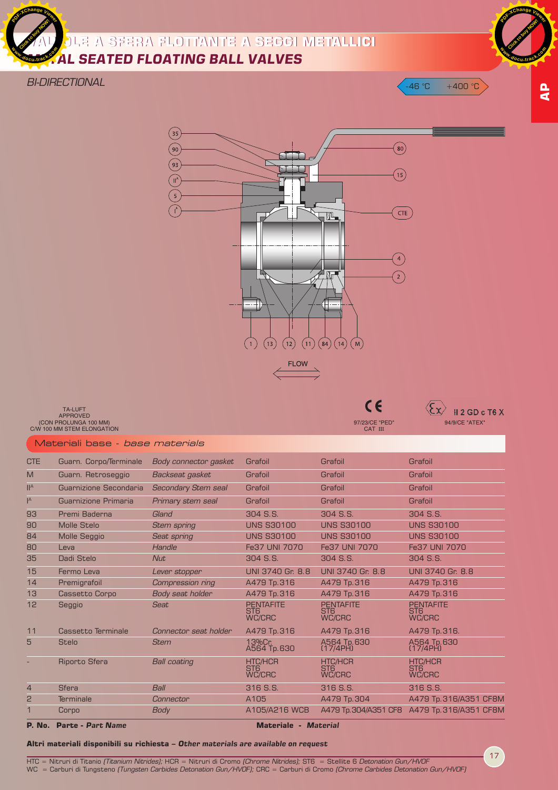



**Click to buy Now!** 

**<sup>w</sup>ww.docu-track.c<sup>o</sup> <sup>m</sup>**

**<sup>P</sup>DF-XCha<sup>n</sup>g<sup>e</sup> <sup>V</sup>iewe<sup>r</sup>**



97/23/CE "PED" CAT III

# TA-LUFT<br>APPROVED<br>CON PROLUNGA 100 MM)<br>C/W 100 MM STEM ELONGATION

Materiali base - base materials

| <b>CTE</b>                | Guarn. Corpo/Terminale   | Body connector gasket      | Grafoil                                            | Grafoil                                              | Grafoil                                              |
|---------------------------|--------------------------|----------------------------|----------------------------------------------------|------------------------------------------------------|------------------------------------------------------|
| M                         | Guarn. Retroseggio       | Backseat gasket            | Grafoil                                            | Grafoil                                              | Grafoil                                              |
| II <sup>A</sup>           | Guarnizione Secondaria   | <b>Secondary Stem seal</b> | Grafoil                                            | Grafoil                                              | Grafoil                                              |
| $\mathsf{I}^{\mathsf{A}}$ | Guarnizione Primaria     | Primary stem seal          | Grafoil                                            | Grafoil                                              | Grafoil                                              |
| 93                        | Premi Baderna            | Gland                      | 304 S.S.                                           | 304 S.S.                                             | 304 S.S.                                             |
| 90                        | <b>Molle Stelo</b>       | <b>Stem spring</b>         | <b>UNS S30100</b>                                  | <b>UNS S30100</b>                                    | <b>UNS S30100</b>                                    |
| 84                        | <b>Molle Seggio</b>      | Seat spring                | <b>UNS S30100</b>                                  | <b>UNS S30100</b>                                    | <b>UNS S30100</b>                                    |
| 80                        | Leva                     | Handle                     | Fe37 UNI 7070                                      | Fe37 UNI 7070                                        | Fe37 UNI 7070                                        |
| 35                        | Dadi Stelo               | <b>Nut</b>                 | 304 S.S.                                           | 304 S.S.                                             | 304 S.S.                                             |
| 15                        | Fermo Leva               | Lever stopper              | UNI 3740 Gr. 8.8                                   | UNI 3740 Gr. 8.8                                     | UNI 3740 Gr. 8.8                                     |
| 14                        | Premigrafoil             | Compression ring           | A479 Tp.316                                        | A479 Tp. 316                                         | A479 Tp. 316                                         |
| 13                        | Cassetto Corpo           | Body seat holder           | A479 Tp.316                                        | A479 Tp. 316                                         | A479 Tp. 316                                         |
| 12                        | Seggio                   | Seat                       | <b>PENTAFITE</b><br>ST <sub>6</sub><br>WC/CRC      | <b>PENTAFITE</b><br>ST <sub>6</sub><br><b>WC/CRC</b> | <b>PENTAFITE</b><br>ST <sub>6</sub><br><b>WC/CRC</b> |
| 11                        | Cassetto Terminale       | Connector seat holder      | A479 Tp.316                                        | A479 Tp. 316                                         | A479 Tp. 316.                                        |
| 5                         | <b>Stelo</b>             | <b>Stem</b>                | 13%Cr.<br>A564 Tp.630                              | A564 Tp.630<br>(17/4PH)                              | A564 Tp.630<br>$(17/4$ PH)                           |
|                           | <b>Riporto Sfera</b>     | <b>Ball coating</b>        | <b>HTC/HCR</b><br>ST <sub>6</sub><br><b>WC/CRC</b> | <b>HTC/HCR</b><br>ST <sub>6</sub><br><b>WC/CRC</b>   | <b>HTC/HCR</b><br>ST <sub>6</sub><br><b>WC/CRC</b>   |
| $\overline{4}$            | <b>Sfera</b>             | <b>Ball</b>                | 316 S.S.                                           | 316 S.S.                                             | 316 S.S.                                             |
| 2                         | <b>Terminale</b>         | Connector                  | A105                                               | A479 Tp. 304                                         | A479 Tp. 316/A351 CF8M                               |
|                           | Corpo                    | Body                       | A105/A216 WCB                                      | A479 Tp. 304/A351 CF8                                | A479 Tp. 316/A351 CF8M                               |
| <b>P. No.</b>             | <b>Parte - Part Name</b> |                            | <b>Materiale - Material</b>                        |                                                      |                                                      |

### **Altri materiali disponibili su richiesta –** *Other materials are available on request*

HTC = Nitruri di Titanio *(Titanium Nitrides);* HCR = Nitruri di Cromo *(Chrome Nitrides);* ST6 = Stellite 6 *Detonation Gun/HVOF*<br>WC = Carburi di Tungsteno *(Tungsten Carbides Detonation Gun/HVOF);* CRC = Carburi di Cro

17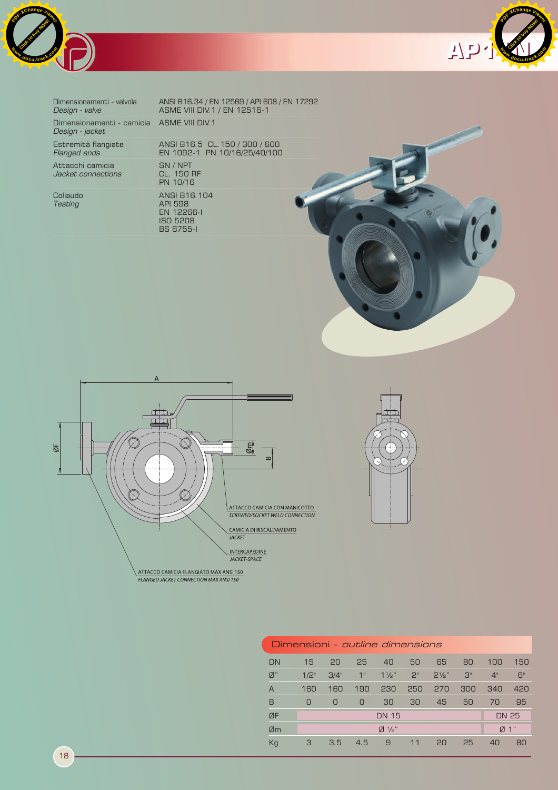



| Dimensionamenti - valvola<br>Design - valve                   | ANSI B16.34 / EN 12569 / API 608 / EN 17292<br>ASME VIII DIV. 1 / EN 12516-1 |  |
|---------------------------------------------------------------|------------------------------------------------------------------------------|--|
| Dimensionamenti - camicia ASME VIII DIV. 1<br>Design - jacket |                                                                              |  |
| Estremità flangiate<br>Flanged ends                           | ANSI B16.5 CL. 150 / 300 / 600<br>EN 1092-1 PN 10/16/25/40/100               |  |
| Attacchi camicia<br>Jacket connections                        | SN / NPT<br>CL. 150 RF<br>PN 10/16                                           |  |
| Collaudo<br>Testing                                           | ANSI B16, 104<br><b>API 598</b><br>EN 12266-I<br>ISO 5208                    |  |

BS 6755-I







|                 |         | Dimensioni <i>- outline dimensions</i> |     |                               |             |                |     |              |     |
|-----------------|---------|----------------------------------------|-----|-------------------------------|-------------|----------------|-----|--------------|-----|
| <b>DN</b>       | 15      | 20                                     | 25  | 40                            | 50          | 65             | 80  | 100          | 150 |
| $\varnothing$ " | $1/2$ " | 3/4"                                   | 1"  | $1\frac{1}{2}$                | $2^{\circ}$ | $2\frac{1}{2}$ | 3"  | 4"           | 6"  |
| $\overline{A}$  | 160     | 160                                    | 190 | 230                           | 250         | 270            | 300 | 340          | 420 |
| B               | 0       | 0                                      | 0   | 30                            | 30          | 45             | 50  | 70           | 95  |
| ØF              |         |                                        |     | <b>DN 15</b>                  |             |                |     | <b>DN 25</b> |     |
| Øm              |         |                                        |     | $\emptyset$ 1/ <sub>2</sub> " |             |                |     | Ø 1"         |     |
| Kg              | 3       | 3.5                                    | 4.5 | 9                             | 11          | 20             | 25  | 40           | 80  |